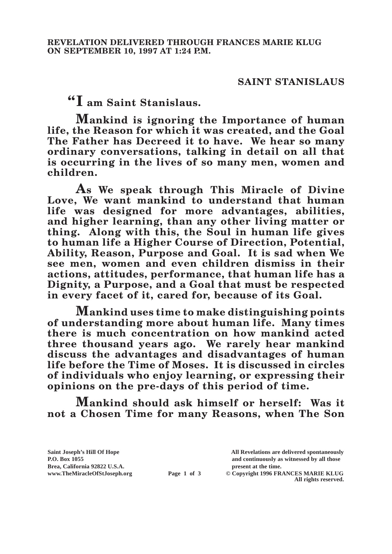## **SAINT STANISLAUS**

**"I am Saint Stanislaus.**

**Mankind is ignoring the Importance of human life, the Reason for which it was created, and the Goal The Father has Decreed it to have. We hear so many ordinary conversations, talking in detail on all that is occurring in the lives of so many men, women and children.**

**As We speak through This Miracle of Divine**  Love, We want mankind to understand that human **life was designed for more advantages, abilities, and higher learning, than any other living matter or thing. Along with this, the Soul in human life gives to human life a Higher Course of Direction, Potential, Ability, Reason, Purpose and Goal. It is sad when We see men, women and even children dismiss in their actions, attitudes, performance, that human life has a Dignity, a Purpose, and a Goal that must be respected in every facet of it, cared for, because of its Goal.**

**Mankind uses time to make distinguishing points of understanding more about human life. Many times there is much concentration on how mankind acted three thousand years ago. We rarely hear mankind discuss the advantages and disadvantages of human life before the Time of Moses. It is discussed in circles of individuals who enjoy learning, or expressing their opinions on the pre-days of this period of time.**

**Mankind should ask himself or herself: Was it not a Chosen Time for many Reasons, when The Son** 

**Brea, California 92822 U.S.A. present at the time.**<br> **present at the time.**<br> **present at the time.**<br> **present at the time.**<br> **Page 1 of 3** © Copyright 1996 FR.

**Saint Joseph's Hill Of Hope All Revelations are delivered spontaneously P.O. Box 1055 and continuously as witnessed by all those Page 1 of 3** © Copyright 1996 FRANCES MARIE KLUG

**All rights reserved.**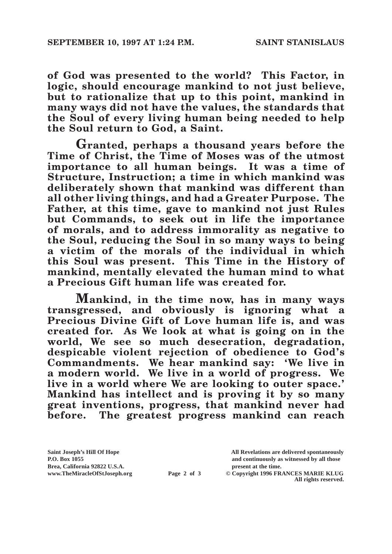**of God was presented to the world? This Factor, in logic, should encourage mankind to not just believe, but to rationalize that up to this point, mankind in many ways did not have the values, the standards that the Soul of every living human being needed to help the Soul return to God, a Saint.**

**Granted, perhaps a thousand years before the Time of Christ, the Time of Moses was of the utmost importance to all human beings. It was a time of Structure, Instruction; a time in which mankind was deliberately shown that mankind was different than all other living things, and had a Greater Purpose. The Father, at this time, gave to mankind not just Rules but Commands, to seek out in life the importance of morals, and to address immorality as negative to the Soul, reducing the Soul in so many ways to being a victim of the morals of the individual in which this Soul was present. This Time in the History of mankind, mentally elevated the human mind to what a Precious Gift human life was created for.**

**Mankind, in the time now, has in many ways transgressed, and obviously is ignoring what a Precious Divine Gift of Love human life is, and was created for. As We look at what is going on in the world, We see so much desecration, degradation, despicable violent rejection of obedience to God's Commandments. We hear mankind say: 'We live in a modern world. We live in a world of progress. We live in a world where We are looking to outer space.' Mankind has intellect and is proving it by so many great inventions, progress, that mankind never had before. The greatest progress mankind can reach** 

Brea, California 92822 U.S.A.<br>
www.TheMiracleOfStJoseph.org<br> **Page 2 of 3** © Copyright 1996 FR.

**Saint Joseph's Hill Of Hope All Revelations are delivered spontaneously P.O. Box 1055 and continuously as witnessed by all those** 

**Page 2 of 3** © Copyright 1996 FRANCES MARIE KLUG **All rights reserved.**